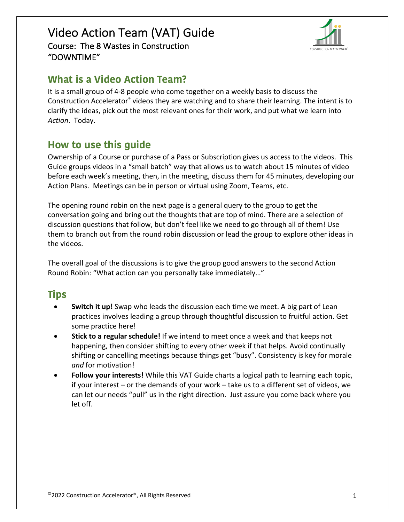

# **What is a Video Action Team?**

It is a small group of 4-8 people who come together on a weekly basis to discuss the Construction Accelerator® videos they are watching and to share their learning. The intent is to clarify the ideas, pick out the most relevant ones for their work, and put what we learn into *Action*. Today.

# **How to use this guide**

Ownership of a Course or purchase of a Pass or Subscription gives us access to the videos. This Guide groups videos in a "small batch" way that allows us to watch about 15 minutes of video before each week's meeting, then, in the meeting, discuss them for 45 minutes, developing our Action Plans. Meetings can be in person or virtual using Zoom, Teams, etc.

The opening round robin on the next page is a general query to the group to get the conversation going and bring out the thoughts that are top of mind. There are a selection of discussion questions that follow, but don't feel like we need to go through all of them! Use them to branch out from the round robin discussion or lead the group to explore other ideas in the videos.

The overall goal of the discussions is to give the group good answers to the second Action Round Robin: "What action can you personally take immediately…"

# **Tips**

- **Switch it up!** Swap who leads the discussion each time we meet. A big part of Lean practices involves leading a group through thoughtful discussion to fruitful action. Get some practice here!
- **Stick to a regular schedule!** If we intend to meet once a week and that keeps not happening, then consider shifting to every other week if that helps. Avoid continually shifting or cancelling meetings because things get "busy". Consistency is key for morale *and* for motivation!
- **Follow your interests!** While this VAT Guide charts a logical path to learning each topic, if your interest – or the demands of your work – take us to a different set of videos, we can let our needs "pull" us in the right direction. Just assure you come back where you let off.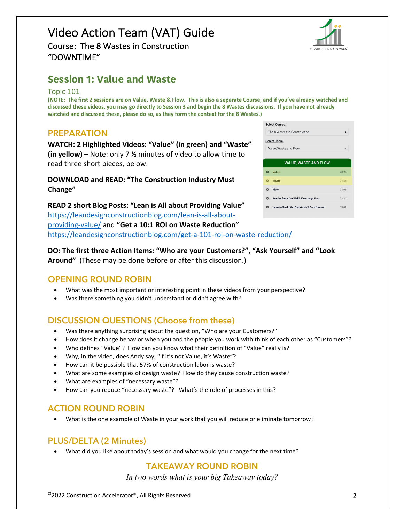

# **Session 1: Value and Waste**

Topic 101

**(NOTE: The first 2 sessions are on Value, Waste & Flow. This is also a separate Course, and if you've already watched and discussed these videos, you may go directly to Session 3 and begin the 8 Wastes discussions. If you have not already watched and discussed these, please do so, as they form the context for the 8 Wastes.)**

#### **PREPARATION**

**WATCH: 2 Highlighted Videos: "Value" (in green) and "Waste" (in yellow) –** Note: only 7 ½ minutes of video to allow time to read three short pieces, below.

**DOWNLOAD and READ: "The Construction Industry Must Change"**

**READ 2 short Blog Posts: "Lean is All about Providing Value"**  https://leandesignconstructionblog.com/lean-is-all-aboutproviding-value/ and **"Get a 10:1 ROI on Waste Reduction"**  https://leandesignconstructionblog.com/get-a-101-roi-on-waste-reduction/

**DO: The first three Action Items: "Who are your Customers?", "Ask Yourself" and "Look Around"** (These may be done before or after this discussion.)

#### **OPENING ROUND ROBIN**

- What was the most important or interesting point in these videos from your perspective?
- Was there something you didn't understand or didn't agree with?

## **DISCUSSION QUESTIONS (Choose from these)**

- Was there anything surprising about the question, "Who are your Customers?"
- How does it change behavior when you and the people you work with think of each other as "Customers"?
- Who defines "Value"? How can you know what their definition of "Value" really is?
- Why, in the video, does Andy say, "If it's not Value, it's Waste"?
- How can it be possible that 57% of construction labor is waste?
- What are some examples of design waste? How do they cause construction waste?
- What are examples of "necessary waste"?
- How can you reduce "necessary waste"? What's the role of processes in this?

#### **ACTION ROUND ROBIN**

• What is the one example of Waste in your work that you will reduce or eliminate tomorrow?

#### **PLUS/DELTA (2 Minutes)**

• What did you like about today's session and what would you change for the next time?

#### **TAKEAWAY ROUND ROBIN**

*In two words what is your big Takeaway today?*

| <b>Select Course:</b>                          |             |  |  |  |
|------------------------------------------------|-------------|--|--|--|
| The 8 Wastes in Construction<br>٠              |             |  |  |  |
| <b>Select Topic:</b>                           |             |  |  |  |
| Value, Waste and Flow                          | $\triangle$ |  |  |  |
|                                                |             |  |  |  |
| <b>VALUE, WASTE AND FLOW</b>                   |             |  |  |  |
| Value<br>Q                                     | 03:26       |  |  |  |
| Ω<br>Waste                                     | 04:56       |  |  |  |
| Flow<br>ദ                                      | 04:06       |  |  |  |
| Stories from the Field: Flow to go Fast<br>٥   | 03:34       |  |  |  |
| Lean in Real Life: Qwikinstall Doorframes<br>Ω | 03:41       |  |  |  |
|                                                |             |  |  |  |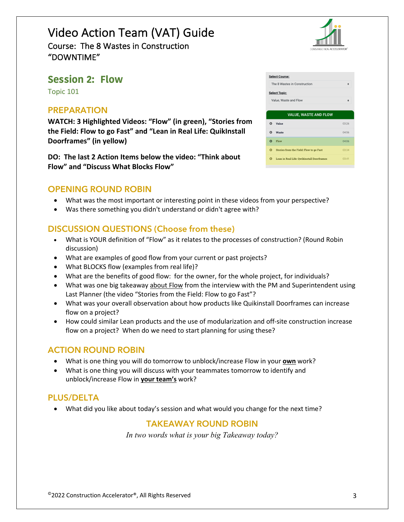

## **Session 2: Flow**

Topic 101

#### **PREPARATION**

**WATCH: 3 Highlighted Videos: "Flow" (in green), "Stories from the Field: Flow to go Fast" and "Lean in Real Life: QuikInstall Doorframes" (in yellow)**

**DO: The last 2 Action Items below the video: "Think about Flow" and "Discuss What Blocks Flow"**

#### **OPENING ROUND ROBIN**

- What was the most important or interesting point in these videos from your perspective?
- Was there something you didn't understand or didn't agree with?

#### **DISCUSSION QUESTIONS (Choose from these)**

- What is YOUR definition of "Flow" as it relates to the processes of construction? (Round Robin discussion)
- What are examples of good flow from your current or past projects?
- What BLOCKS flow (examples from real life)?
- What are the benefits of good flow: for the owner, for the whole project, for individuals?
- What was one big takeaway about Flow from the interview with the PM and Superintendent using Last Planner (the video "Stories from the Field: Flow to go Fast"?
- What was your overall observation about how products like Quikinstall Doorframes can increase flow on a project?
- How could similar Lean products and the use of modularization and off-site construction increase flow on a project? When do we need to start planning for using these?

#### **ACTION ROUND ROBIN**

- What is one thing you will do tomorrow to unblock/increase Flow in your **own** work?
- What is one thing you will discuss with your teammates tomorrow to identify and unblock/increase Flow in **your team's** work?

#### **PLUS/DELTA**

• What did you like about today's session and what would you change for the next time?

#### **TAKEAWAY ROUND ROBIN**

*In two words what is your big Takeaway today?*

|                              | <b>Select Course:</b>                          |       |  |  |
|------------------------------|------------------------------------------------|-------|--|--|
|                              | The 8 Wastes in Construction                   | ÷     |  |  |
| <b>Select Topic:</b>         |                                                |       |  |  |
|                              | Value. Waste and Flow                          | ٠     |  |  |
|                              |                                                |       |  |  |
| <b>VALUE, WASTE AND FLOW</b> |                                                |       |  |  |
| ൨                            | Value                                          | 03:26 |  |  |
|                              |                                                |       |  |  |
| $\Omega$                     | Waste                                          | 04:56 |  |  |
| Ω                            | Flow                                           | 04:06 |  |  |
| റ                            | <b>Stories from the Field: Flow to go Fast</b> | 03:34 |  |  |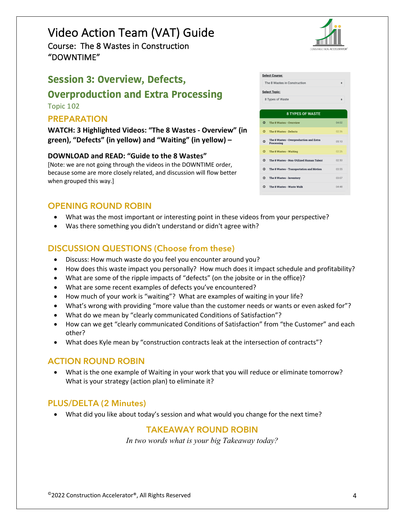# Video Action Team (VAT) Guide

Course: The 8 Wastes in Construction "DOWNTIME"

# **Session 3: Overview, Defects,**

# **Overproduction and Extra Processing**

Topic 102

## **PREPARATION**

**WATCH: 3 Highlighted Videos: "The 8 Wastes - Overview" (in green), "Defects" (in yellow) and "Waiting" (in yellow) –**

#### **DOWNLOAD and READ: "Guide to the 8 Wastes"**

[Note: we are not going through the videos in the DOWNTIME order, because some are more closely related, and discussion will flow better when grouped this way.]

## **OPENING ROUND ROBIN**

- What was the most important or interesting point in these videos from your perspective?
- Was there something you didn't understand or didn't agree with?

## **DISCUSSION QUESTIONS (Choose from these)**

- Discuss: How much waste do you feel you encounter around you?
- How does this waste impact you personally? How much does it impact schedule and profitability?
- What are some of the ripple impacts of "defects" (on the jobsite or in the office)?
- What are some recent examples of defects you've encountered?
- How much of your work is "waiting"? What are examples of waiting in your life?
- What's wrong with providing "more value than the customer needs or wants or even asked for"?
- What do we mean by "clearly communicated Conditions of Satisfaction"?
- How can we get "clearly communicated Conditions of Satisfaction" from "the Customer" and each other?
- What does Kyle mean by "construction contracts leak at the intersection of contracts"?

## **ACTION ROUND ROBIN**

• What is the one example of Waiting in your work that you will reduce or eliminate tomorrow? What is your strategy (action plan) to eliminate it?

## **PLUS/DELTA (2 Minutes)**

• What did you like about today's session and what would you change for the next time?

## **TAKEAWAY ROUND ROBIN**

*In two words what is your big Takeaway today?*

|                                                            | CONSTRUCTION ACCELERATOR |  |  |
|------------------------------------------------------------|--------------------------|--|--|
| Select Course:                                             |                          |  |  |
| The 8 Wastes in Construction                               | ٠                        |  |  |
| Select Topic:                                              |                          |  |  |
| 8 Types of Waste                                           | ÷                        |  |  |
|                                                            |                          |  |  |
| <b>8 TYPES OF WASTE</b>                                    |                          |  |  |
| D<br>The 8 Wastes - Overview                               | 04:02                    |  |  |
| D<br>The 8 Wastes - Defects                                | 02:36                    |  |  |
| The 8 Wastes - Overproduction and Extra<br>٥<br>Processing | 05:10                    |  |  |
| D<br>The 8 Wastes - Waiting                                | 02:26                    |  |  |
| ٥<br>The 8 Wastes - Non-Utilized Human Talent              | 02:50                    |  |  |
| ٥<br>The 8 Wastes - Transportation and Motion              | 03:55                    |  |  |

Selec The Seleo

 $\bullet$  $\bullet$  $\circ$  $\bullet$  $\circ$  $\circ$ 

**O** The 8 Wastes - Inventory

**O** The 8 Wastes - Waste Walk



03:07

04:48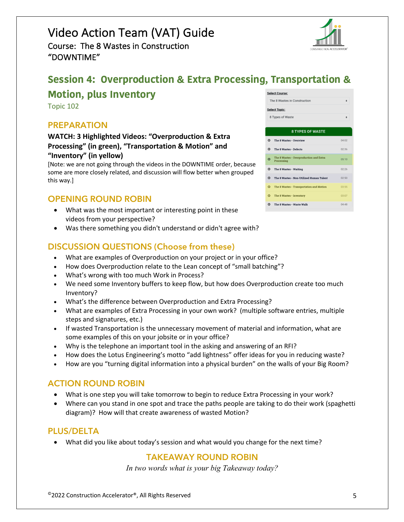# Video Action Team (VAT) Guide

Course: The 8 Wastes in Construction "DOWNTIME"

# **Session 4: Overproduction & Extra Processing, Transportation &**

# **Motion, plus Inventory**

Topic 102

#### **PREPARATION**

#### **WATCH: 3 Highlighted Videos: "Overproduction & Extra Processing" (in green), "Transportation & Motion" and "Inventory" (in yellow)**

[Note: we are not going through the videos in the DOWNTIME order, because some are more closely related, and discussion will flow better when grouped this way.]

## **OPENING ROUND ROBIN**

- What was the most important or interesting point in these videos from your perspective?
- Was there something you didn't understand or didn't agree with?

## **DISCUSSION QUESTIONS (Choose from these)**

- What are examples of Overproduction on your project or in your office?
- How does Overproduction relate to the Lean concept of "small batching"?
- What's wrong with too much Work in Process?
- We need some Inventory buffers to keep flow, but how does Overproduction create too much Inventory?
- What's the difference between Overproduction and Extra Processing?
- What are examples of Extra Processing in your own work? (multiple software entries, multiple steps and signatures, etc.)
- If wasted Transportation is the unnecessary movement of material and information, what are some examples of this on your jobsite or in your office?
- Why is the telephone an important tool in the asking and answering of an RFI?
- How does the Lotus Engineering's motto "add lightness" offer ideas for you in reducing waste?
- How are you "turning digital information into a physical burden" on the walls of your Big Room?

## **ACTION ROUND ROBIN**

- What is one step you will take tomorrow to begin to reduce Extra Processing in your work?
- Where can you stand in one spot and trace the paths people are taking to do their work (spaghetti diagram)? How will that create awareness of wasted Motion?

## **PLUS/DELTA**

• What did you like about today's session and what would you change for the next time?

#### **TAKEAWAY ROUND ROBIN**

*In two words what is your big Takeaway today?*

|                       | The 8 Wastes in Construction                          | ÷     |  |  |
|-----------------------|-------------------------------------------------------|-------|--|--|
| <b>Select Topic:</b>  |                                                       |       |  |  |
| 8 Types of Waste<br>۵ |                                                       |       |  |  |
|                       |                                                       |       |  |  |
|                       | <b>8 TYPES OF WASTE</b>                               |       |  |  |
| $\circ$               | The 8 Wastes - Overview                               | 04:02 |  |  |
| $\Omega$              | The 8 Wastes - Defects                                | 02:36 |  |  |
| o                     | The 8 Wastes - Overproduction and Extra<br>Processing | 05:10 |  |  |
| $\circ$               | The 8 Wastes - Waiting                                | 02.26 |  |  |
| $\circ$               | The 8 Wastes - Non-Utilized Human Talent              | 02:50 |  |  |
| Ω                     | The 8 Wastes - Transportation and Motion              | 03:55 |  |  |
| $\bullet$             | The 8 Wastes - Inventory                              | 03:07 |  |  |
| $\Omega$              | The 8 Wastes - Waste Walk                             | 04:48 |  |  |

Select Course: